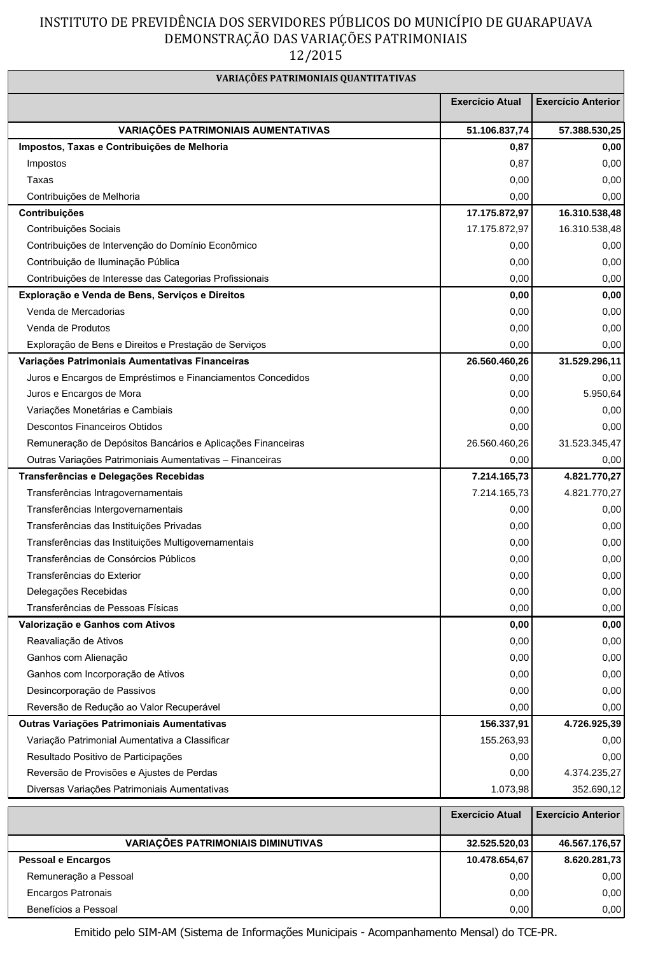## INSTITUTO DE PREVIDÊNCIA DOS SERVIDORES PÚBLICOS DO MUNICÍPIO DE GUARAPUAVA DEMONSTRAÇÃO DAS VARIAÇÕES PATRIMONIAIS  $12/2015$

| VARIAÇÕES PATRIMONIAIS QUANTITATIVAS                        |                        |                           |  |
|-------------------------------------------------------------|------------------------|---------------------------|--|
|                                                             | <b>Exercício Atual</b> | <b>Exercício Anterior</b> |  |
| VARIAÇÕES PATRIMONIAIS AUMENTATIVAS                         | 51.106.837,74          | 57.388.530,25             |  |
| Impostos, Taxas e Contribuições de Melhoria                 | 0,87                   | 0,00                      |  |
| Impostos                                                    | 0,87                   | 0,00                      |  |
| Taxas                                                       | 0,00                   | 0,00                      |  |
| Contribuições de Melhoria                                   | 0,00                   | 0,00                      |  |
| Contribuições                                               | 17.175.872,97          | 16.310.538,48             |  |
| Contribuições Sociais                                       | 17.175.872,97          | 16.310.538,48             |  |
| Contribuições de Intervenção do Domínio Econômico           | 0,00                   | 0,00                      |  |
| Contribuição de Iluminação Pública                          | 0,00                   | 0,00                      |  |
| Contribuições de Interesse das Categorias Profissionais     | 0,00                   | 0,00                      |  |
| Exploração e Venda de Bens, Serviços e Direitos             | 0,00                   | 0,00                      |  |
| Venda de Mercadorias                                        | 0,00                   | 0,00                      |  |
| Venda de Produtos                                           | 0,00                   | 0,00                      |  |
| Exploração de Bens e Direitos e Prestação de Serviços       | 0,00                   | 0,00                      |  |
| Variações Patrimoniais Aumentativas Financeiras             | 26.560.460,26          | 31.529.296,11             |  |
| Juros e Encargos de Empréstimos e Financiamentos Concedidos | 0,00                   | 0,00                      |  |
| Juros e Encargos de Mora                                    | 0,00                   | 5.950,64                  |  |
| Variações Monetárias e Cambiais                             | 0,00                   | 0,00                      |  |
| <b>Descontos Financeiros Obtidos</b>                        | 0,00                   | 0,00                      |  |
| Remuneração de Depósitos Bancários e Aplicações Financeiras | 26.560.460,26          | 31.523.345,47             |  |
| Outras Variações Patrimoniais Aumentativas - Financeiras    | 0,00                   | 0,00                      |  |
| Transferências e Delegações Recebidas                       | 7.214.165,73           | 4.821.770,27              |  |
| Transferências Intragovernamentais                          | 7.214.165,73           | 4.821.770,27              |  |
| Transferências Intergovernamentais                          | 0,00                   | 0,00                      |  |
| Transferências das Instituições Privadas                    | 0,00                   | 0,00                      |  |
| Transferências das Instituições Multigovernamentais         | 0,00                   | 0,00                      |  |
| Transferências de Consórcios Públicos                       | 0,00                   | 0,00                      |  |
| Transferências do Exterior                                  | 0,00                   | 0,00                      |  |
| Delegações Recebidas                                        | 0,00                   | 0,00                      |  |
| Transferências de Pessoas Físicas                           | 0,00                   | 0,00                      |  |
| Valorização e Ganhos com Ativos                             | 0,00                   | 0,00                      |  |
| Reavaliação de Ativos                                       | 0,00                   | 0,00                      |  |
| Ganhos com Alienação                                        | 0,00                   | 0,00                      |  |
| Ganhos com Incorporação de Ativos                           | 0,00                   | 0,00                      |  |
| Desincorporação de Passivos                                 | 0,00                   | 0,00                      |  |
| Reversão de Redução ao Valor Recuperável                    | 0,00                   | 0,00                      |  |
| Outras Variações Patrimoniais Aumentativas                  | 156.337,91             | 4.726.925,39              |  |
| Variação Patrimonial Aumentativa a Classificar              | 155.263,93             | 0,00                      |  |
| Resultado Positivo de Participações                         | 0,00                   | 0,00                      |  |
| Reversão de Provisões e Ajustes de Perdas                   | 0,00                   | 4.374.235,27              |  |
| Diversas Variações Patrimoniais Aumentativas                | 1.073,98               | 352.690,12                |  |
|                                                             | <b>Exercício Atual</b> | <b>Exercício Anterior</b> |  |
| <b>VARIAÇÕES PATRIMONIAIS DIMINUTIVAS</b>                   | 32.525.520,03          | 46.567.176,57             |  |
| Pessoal e Encargos                                          | 10.478.654,67          | 8.620.281,73              |  |
| Remuneração a Pessoal                                       | 0,00                   | 0,00                      |  |
| Encargos Patronais                                          | 0,00                   | 0,00                      |  |
| Benefícios a Pessoal                                        | 0,00                   | 0,00                      |  |

Emitido pelo SIM-AM (Sistema de Informações Municipais - Acompanhamento Mensal) do TCE-PR.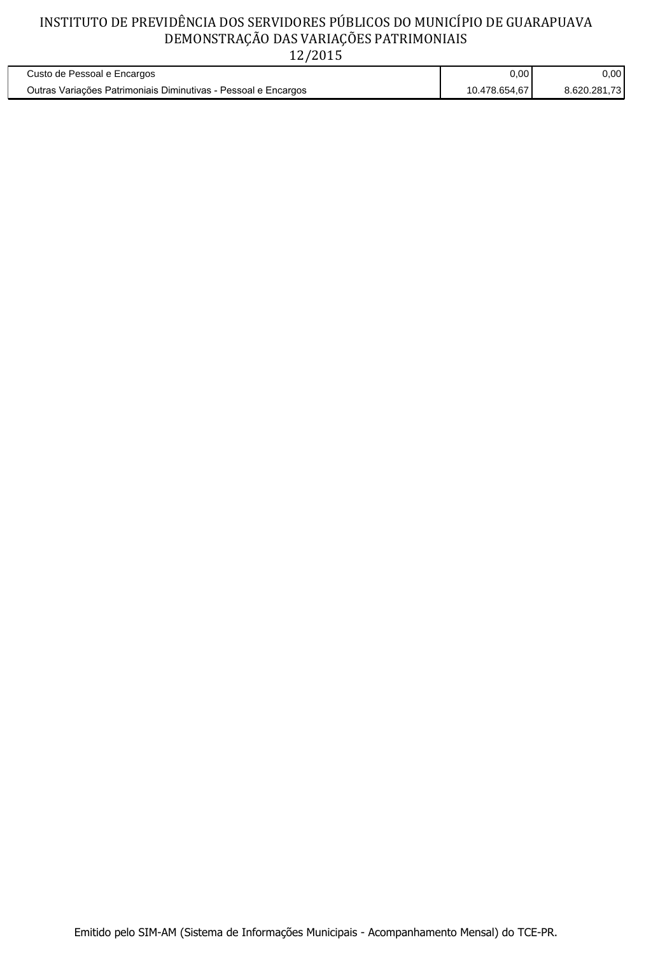## INSTITUTO DE PREVIDÊNCIA DOS SERVIDORES PÚBLICOS DO MUNICÍPIO DE GUARAPUAVA DEMONSTRAÇÃO DAS VARIAÇÕES PATRIMONIAIS  $12/2015$

| Custo de Pessoal e Encargos                                    | 0,00          | $0.00 \,$    |
|----------------------------------------------------------------|---------------|--------------|
| Outras Variações Patrimoniais Diminutivas - Pessoal e Encargos | 10.478.654.67 | 8.620.281.73 |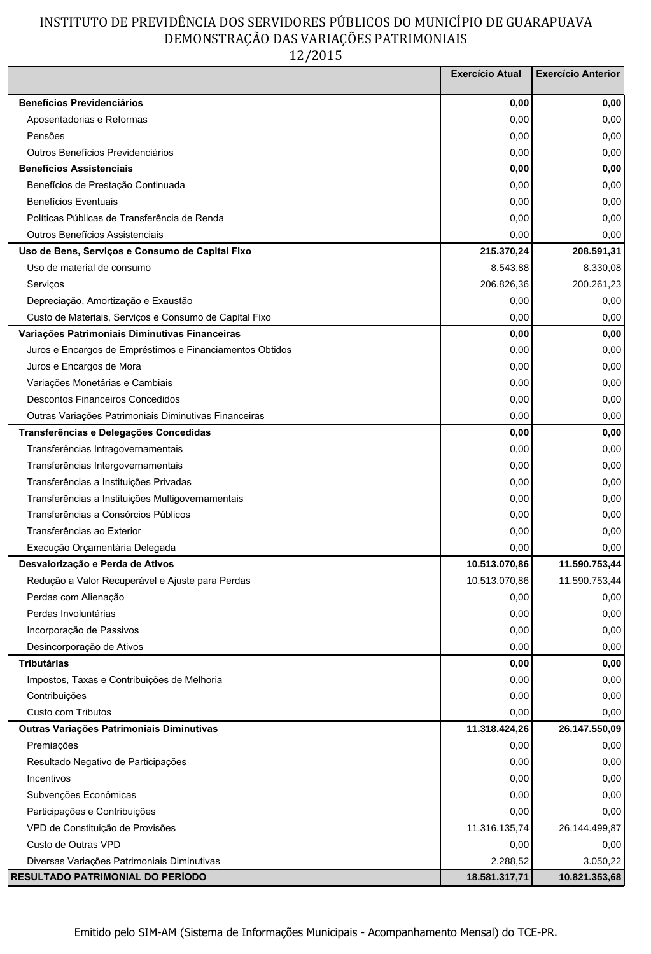## INSTITUTO DE PREVIDÊNCIA DOS SERVIDORES PÚBLICOS DO MUNICÍPIO DE GUARAPUAVA DEMONSTRAÇÃO DAS VARIAÇÕES PATRIMONIAIS

12/2015

|                                                          | <b>Exercício Atual</b> | <b>Exercício Anterior</b> |
|----------------------------------------------------------|------------------------|---------------------------|
| <b>Benefícios Previdenciários</b>                        | 0,00                   | 0,00                      |
| Aposentadorias e Reformas                                | 0,00                   | 0,00                      |
| Pensões                                                  | 0,00                   | 0,00                      |
| Outros Benefícios Previdenciários                        | 0,00                   | 0,00                      |
| <b>Benefícios Assistenciais</b>                          | 0,00                   | 0,00                      |
| Benefícios de Prestação Continuada                       | 0,00                   | 0,00                      |
| <b>Benefícios Eventuais</b>                              | 0,00                   | 0,00                      |
| Políticas Públicas de Transferência de Renda             | 0,00                   | 0,00                      |
| Outros Benefícios Assistenciais                          | 0,00                   | 0,00                      |
| Uso de Bens, Serviços e Consumo de Capital Fixo          | 215.370,24             | 208.591,31                |
| Uso de material de consumo                               | 8.543,88               | 8.330,08                  |
| Serviços                                                 | 206.826,36             | 200.261,23                |
| Depreciação, Amortização e Exaustão                      | 0,00                   | 0,00                      |
| Custo de Materiais, Serviços e Consumo de Capital Fixo   | 0,00                   | 0,00                      |
| Variações Patrimoniais Diminutivas Financeiras           | 0,00                   | 0,00                      |
| Juros e Encargos de Empréstimos e Financiamentos Obtidos | 0,00                   | 0,00                      |
| Juros e Encargos de Mora                                 | 0,00                   | 0,00                      |
| Variações Monetárias e Cambiais                          | 0,00                   | 0,00                      |
| <b>Descontos Financeiros Concedidos</b>                  | 0,00                   | 0,00                      |
| Outras Variações Patrimoniais Diminutivas Financeiras    | 0,00                   | 0,00                      |
| Transferências e Delegações Concedidas                   | 0,00                   | 0,00                      |
| Transferências Intragovernamentais                       | 0,00                   | 0,00                      |
| Transferências Intergovernamentais                       | 0,00                   | 0,00                      |
| Transferências a Instituições Privadas                   | 0,00                   | 0,00                      |
| Transferências a Instituições Multigovernamentais        | 0,00                   | 0,00                      |
| Transferências a Consórcios Públicos                     | 0,00                   | 0,00                      |
| Transferências ao Exterior                               | 0,00                   | 0,00                      |
| Execução Orçamentária Delegada                           | 0,00                   | 0,00                      |
| Desvalorização e Perda de Ativos                         | 10.513.070,86          | 11.590.753,44             |
| Redução a Valor Recuperável e Ajuste para Perdas         | 10.513.070,86          | 11.590.753,44             |
| Perdas com Alienação                                     | 0,00                   | 0,00                      |
| Perdas Involuntárias                                     | 0,00                   | 0,00                      |
| Incorporação de Passivos                                 | 0,00                   | 0,00                      |
| Desincorporação de Ativos                                | 0,00                   | 0,00                      |
| <b>Tributárias</b>                                       | 0,00                   | 0,00                      |
| Impostos, Taxas e Contribuições de Melhoria              | 0,00                   | 0,00                      |
| Contribuições                                            | 0,00                   | 0,00                      |
| Custo com Tributos                                       | 0,00                   | 0,00                      |
| Outras Variações Patrimoniais Diminutivas                | 11.318.424,26          | 26.147.550,09             |
| Premiações                                               | 0,00                   | 0,00                      |
| Resultado Negativo de Participações                      | 0,00                   | 0,00                      |
| Incentivos                                               | 0,00                   | 0,00                      |
| Subvenções Econômicas                                    | 0,00                   | 0,00                      |
| Participações e Contribuições                            | 0,00                   | 0,00                      |
| VPD de Constituição de Provisões                         | 11.316.135,74          | 26.144.499,87             |
| Custo de Outras VPD                                      | 0,00                   | 0,00                      |
| Diversas Variações Patrimoniais Diminutivas              | 2.288,52               | 3.050,22                  |
| <b>RESULTADO PATRIMONIAL DO PERÍODO</b>                  | 18.581.317,71          | 10.821.353,68             |